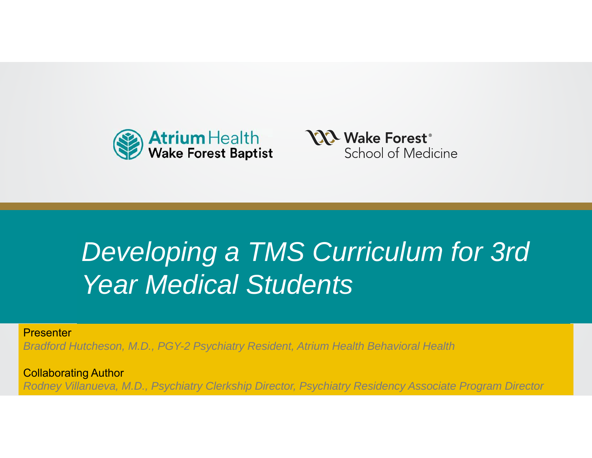



## **Developing a TMS Curriculum for 3rd** Year Medical Students **Thought**

**Presenter** 

*Bradford Hutcheson, M.D., PGY-2 Psychiatry Resident, Atrium Health Behavioral Health*

Polloborating Author Collaborating Author *Rodney Villanueva, M.D., Psychiatry Clerkship Director, Psychiatry Residency Associate Program Director*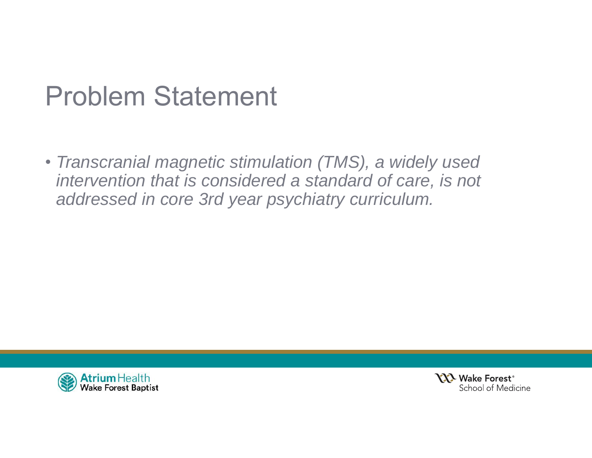### Problem Statement

• *Transcranial magnetic stimulation (TMS), a widely used intervention that is considered a standard of care, is not addressed in core 3rd year psychiatry curriculum.*



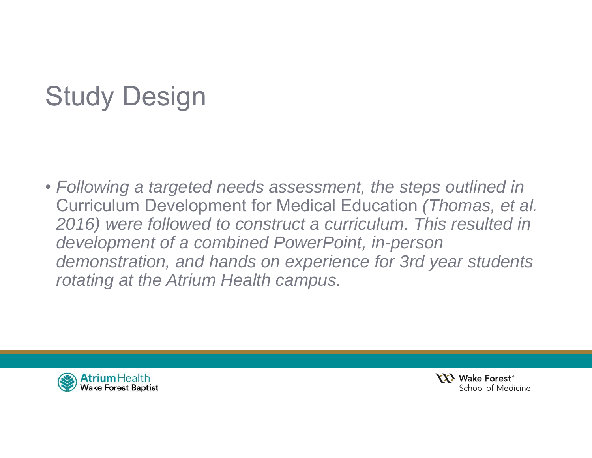# Study Design

• *Following a targeted needs assessment, the steps outlined in*  Curriculum Development for Medical Education *(Thomas, et al.*  2016) were followed to construct a curriculum. This resulted in *development of a combined PowerPoint, in-person demonstration, and hands on experience for 3rd year students rotating at the Atrium Health campus.*



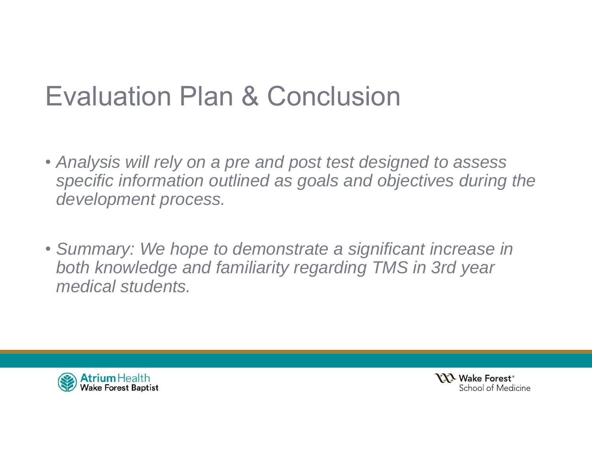### Evaluation Plan & Conclusion

- *Analysis will rely on a pre and post test designed to assess specific information outlined as goals and objectives during the development process.*
- *Summary: We hope to demonstrate a significant increase in both knowledge and familiarity regarding TMS in 3rd year medical students.*



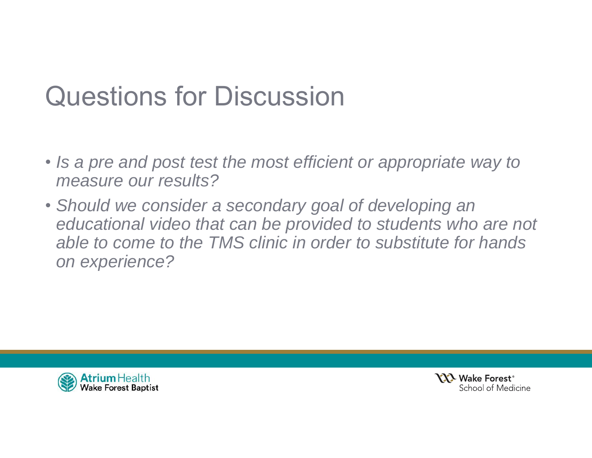### Questions for Discussion

- *Is a pre and post test the most efficient or appropriate way to measure our results?*
- *Should we consider a secondary goal of developing an*  educational video that can be provided to students who are not *able to come to the TMS clinic in order to substitute for hands on experience?*